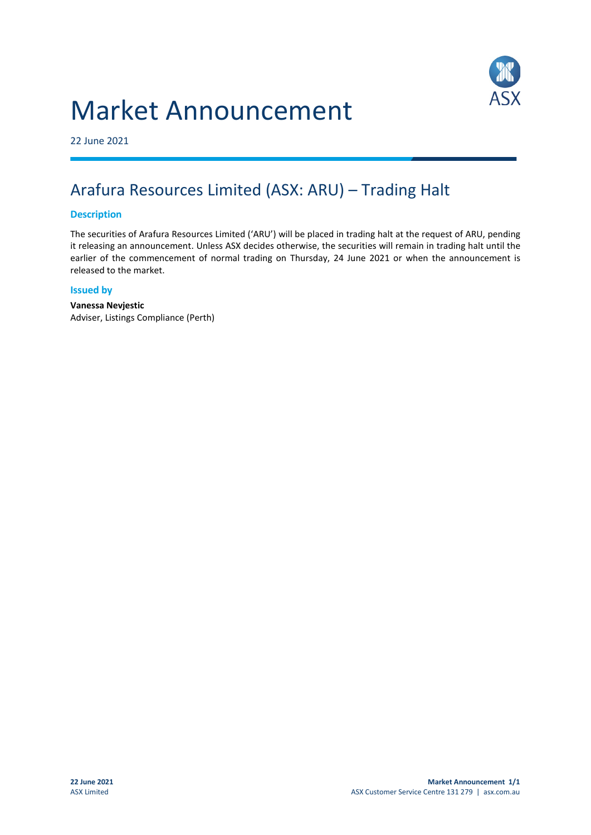# Market Announcement



22 June 2021

## Arafura Resources Limited (ASX: ARU) – Trading Halt

#### **Description**

The securities of Arafura Resources Limited ('ARU') will be placed in trading halt at the request of ARU, pending it releasing an announcement. Unless ASX decides otherwise, the securities will remain in trading halt until the earlier of the commencement of normal trading on Thursday, 24 June 2021 or when the announcement is released to the market.

#### **Issued by**

**Vanessa Nevjestic** Adviser, Listings Compliance (Perth)